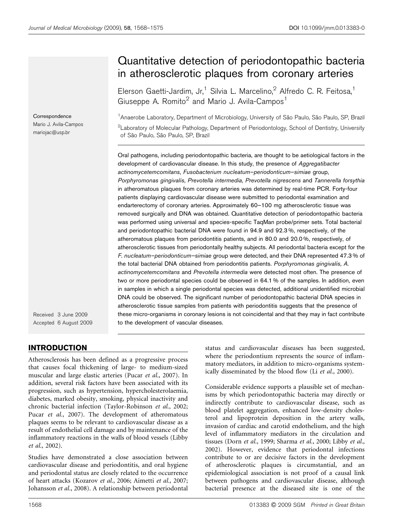Correspondence Mario J. Avila-Campos mariojac@usp.br

Received 3 June 2009 Accepted 6 August 2009

## INTRODUCTION

Atherosclerosis has been defined as a progressive process that causes focal thickening of large- to medium-sized muscular and large elastic arteries (Pucar et al., 2007). In addition, several risk factors have been associated with its progression, such as hypertension, hypercholesterolaemia, diabetes, marked obesity, smoking, physical inactivity and chronic bacterial infection (Taylor-Robinson et al., 2002; Pucar et al., 2007). The development of atheromatous plaques seems to be relevant to cardiovascular disease as a result of endothelial cell damage and by maintenance of the inflammatory reactions in the walls of blood vessels (Libby et al., 2002).

Studies have demonstrated a close association between cardiovascular disease and periodontitis, and oral hygiene and periodontal status are closely related to the occurrence of heart attacks (Kozarov et al., 2006; Aimetti et al., 2007; Johansson et al., 2008). A relationship between periodontal

# Quantitative detection of periodontopathic bacteria in atherosclerotic plaques from coronary arteries

Elerson Gaetti-Jardim, Jr,<sup>1</sup> Silvia L. Marcelino,<sup>2</sup> Alfredo C. R. Feitosa,<sup>1</sup> Giuseppe A. Romito<sup>2</sup> and Mario J. Avila-Campos<sup>1</sup>

<sup>1</sup> Anaerobe Laboratory, Department of Microbiology, University of São Paulo, São Paulo, SP, Brazil  $^2$ Laboratory of Molecular Pathology, Department of Periodontology, School of Dentistry, University of São Paulo, São Paulo, SP, Brazil

Oral pathogens, including periodontopathic bacteria, are thought to be aetiological factors in the development of cardiovascular disease. In this study, the presence of Aggregatibacter actinomycetemcomitans, Fusobacterium nucleatum–periodonticum–simiae group, Porphyromonas gingivalis, Prevotella intermedia, Prevotella nigrescens and Tannerella forsythia in atheromatous plaques from coronary arteries was determined by real-time PCR. Forty-four patients displaying cardiovascular disease were submitted to periodontal examination and endarterectomy of coronary arteries. Approximately 60–100 mg atherosclerotic tissue was removed surgically and DNA was obtained. Quantitative detection of periodontopathic bacteria was performed using universal and species-specific TaqMan probe/primer sets. Total bacterial and periodontopathic bacterial DNA were found in 94.9 and 92.3 %, respectively, of the atheromatous plaques from periodontitis patients, and in 80.0 and 20.0 %, respectively, of atherosclerotic tissues from periodontally healthy subjects. All periodontal bacteria except for the F. nucleatum–periodonticum–simiae group were detected, and their DNA represented 47.3 % of the total bacterial DNA obtained from periodontitis patients. Porphyromonas gingivalis, A. actinomycetemcomitans and Prevotella intermedia were detected most often. The presence of two or more periodontal species could be observed in 64.1 % of the samples. In addition, even in samples in which a single periodontal species was detected, additional unidentified microbial DNA could be observed. The significant number of periodontopathic bacterial DNA species in atherosclerotic tissue samples from patients with periodontitis suggests that the presence of these micro-organisms in coronary lesions is not coincidental and that they may in fact contribute to the development of vascular diseases.

> status and cardiovascular diseases has been suggested, where the periodontium represents the source of inflammatory mediators, in addition to micro-organisms systemically disseminated by the blood flow (Li et al., 2000).

> Considerable evidence supports a plausible set of mechanisms by which periodontopathic bacteria may directly or indirectly contribute to cardiovascular disease, such as blood platelet aggregation, enhanced low-density cholesterol and lipoprotein deposition in the artery walls, invasion of cardiac and carotid endothelium, and the high level of inflammatory mediators in the circulation and tissues (Dorn et al., 1999; Sharma et al., 2000; Libby et al., 2002). However, evidence that periodontal infections contribute to or are decisive factors in the development of atherosclerotic plaques is circumstantial, and an epidemiological association is not proof of a causal link between pathogens and cardiovascular disease, although bacterial presence at the diseased site is one of the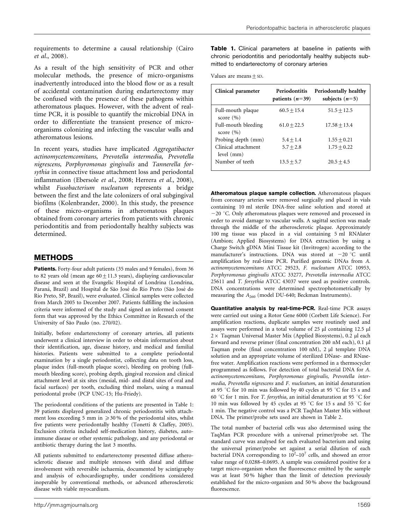requirements to determine a causal relationship (Cairo et al., 2008).

As a result of the high sensitivity of PCR and other molecular methods, the presence of micro-organisms inadvertently introduced into the blood flow or as a result of accidental contamination during endarterectomy may be confused with the presence of these pathogens within atheromatous plaques. However, with the advent of realtime PCR, it is possible to quantify the microbial DNA in order to differentiate the transient presence of microorganisms colonizing and infecting the vascular walls and atheromatous lesions.

In recent years, studies have implicated Aggregatibacter actinomycetemcomitans, Prevotella intermedia, Prevotella nigrescens, Porphyromonas gingivalis and Tannerella forsythia in connective tissue attachment loss and periodontal inflammation (Ebersole et al., 2008; Herrera et al., 2008), whilst Fusobacterium nucleatum represents a bridge between the first and the late colonizers of oral subgingival biofilms (Kolenbrander, 2000). In this study, the presence of these micro-organisms in atheromatous plaques obtained from coronary arteries from patients with chronic periodontitis and from periodontally healthy subjects was determined.

#### **METHODS**

Patients. Forty-four adult patients (35 males and 9 females), from 36 to 82 years old (mean age  $60 \pm 11.3$  years), displaying cardiovascular disease and seen at the Evangelic Hospital of Londrina (Londrina, Paraná, Brazil) and Hospital de São José do Rio Preto (São José do Rio Preto, SP, Brazil), were evaluated. Clinical samples were collected from March 2005 to December 2007. Patients fulfilling the inclusion criteria were informed of the study and signed an informed consent form that was approved by the Ethics Committee in Research of the University of São Paulo (no. 270/02).

Initially, before endarterectomy of coronary arteries, all patients underwent a clinical interview in order to obtain information about their identification, age, disease history, and medical and familial histories. Patients were submitted to a complete periodontal examination by a single periodontist, collecting data on tooth loss, plaque index (full-mouth plaque score), bleeding on probing (fullmouth bleeding score), probing depth, gingival recession and clinical attachment level at six sites (mesial, mid- and distal sites of oral and facial surfaces) per tooth, excluding third molars, using a manual periodontal probe (PCP UNC-15; Hu-Friedy).

The periodontal conditions of the patients are presented in Table 1: 39 patients displayed generalized chronic periodontitis with attachment loss exceeding 5 mm in *¢*30 % of the periodontal sites, whilst five patients were periodontally healthy (Tonetti & Claffey, 2005). Exclusion criteria included self-medication history, diabetes, autoimmune disease or other systemic pathology, and any periodontal or antibiotic therapy during the last 3 months.

All patients submitted to endarterectomy presented diffuse atherosclerotic disease and multiple stenoses with distal and diffuse involvement with reversible ischaemia, documented by scintigraphy and analysis of echocardiography, under conditions considered inoperable by conventional methods, or advanced atherosclerotic disease with viable myocardium.

Table 1. Clinical parameters at baseline in patients with chronic periodontitis and periodontally healthy subjects submitted to endarterectomy of coronary arteries

Values are means  $\pm$  SD.

| Clinical parameter                   | Periodontitis<br>patients $(n=39)$ | Periodontally healthy<br>subjects $(n=5)$ |
|--------------------------------------|------------------------------------|-------------------------------------------|
| Full-mouth plaque<br>score $(\% )$   | $60.5 + 15.4$                      | $51.5 + 12.5$                             |
| Full-mouth bleeding<br>score $(\% )$ | $61.0 + 22.5$                      | $17.58 + 13.4$                            |
| Probing depth (mm)                   | $5.4 + 1.4$                        | $1.55 + 0.21$                             |
| Clinical attachment<br>level (mm)    | $5.7 + 2.8$                        | $1.75 + 0.22$                             |
| Number of teeth                      | $13.5 + 5.7$                       | $20.5 + 4.5$                              |

Atheromatous plaque sample collection. Atheromatous plaques from coronary arteries were removed surgically and placed in vials containing 10 ml sterile DNA-free saline solution and stored at  $-20$  °C. Only atheromatous plaques were removed and processed in order to avoid damage to vascular walls. A sagittal section was made through the middle of the atherosclerotic plaque. Approximately 100 mg tissue was placed in a vial containing 5 ml RNAlater (Ambion; Applied Biosystems) for DNA extraction by using a Charge Switch gDNA Mini Tissue kit (Invitrogen) according to the manufacturer's instructions. DNA was stored at  $-20$  °C until amplification by real-time PCR. Purified genomic DNAs from A. actinomycetemcomitans ATCC 29523, F. nucleatum ATCC 10953, Porphyromonas gingivalis ATCC 33277, Prevotella intermedia ATCC 25611 and T. forsythia ATCC 43037 were used as positive controls. DNA concentrations were determined spectrophotometrically by measuring the  $A_{260}$  (model DU-640; Beckman Instruments).

Quantitative analysis by real-time-PCR. Real-time PCR assays were carried out using a Rotor Gene 6000 (Corbett Life Science). For amplification reactions, duplicate samples were routinely used and assays were performed in a total volume of  $25 \mu l$  containing  $12.5 \mu l$  $2 \times$  Taqman Universal Master Mix (Applied Biosystems), 0.2 µl each forward and reverse primer (final concentration 200 nM each), 0.1 ml Taqman probe (final concentration 100 nM), 2 µl template DNA solution and an appropriate volume of sterilized DNase- and RNasefree water. Amplification reactions were performed in a thermocycler programmed as follows. For detection of total bacterial DNA for A. actinomycetemcomitans, Porphyromonas gingivalis, Prevotella intermedia, Prevotella nigrescens and F. nucleatum, an initial denaturation at 95 °C for 10 min was followed by 40 cycles at 95 °C for 15 s and 60 °C for 1 min. For T. forsythia, an initial denaturation at 95 °C for 10 min was followed by 45 cycles at 95 °C for 15 s and 55 °C for 1 min. The negative control was a PCR TaqMan Master Mix without DNA. The primer/probe sets used are shown in Table 2.

The total number of bacterial cells was also determined using the TaqMan PCR procedure with a universal primer/probe set. The standard curve was analysed for each evaluated bacterium and using the universal primer/probe set against a serial dilution of each bacterial DNA corresponding to  $10^2$ - $10^7$  cells, and showed an error value range of 0.0288–0.0695. A sample was considered positive for a target micro-organism when the fluorescence emitted by the sample was at least 50 % higher than the limit of detection previously established for the micro-organism and 50 % above the background fluorescence.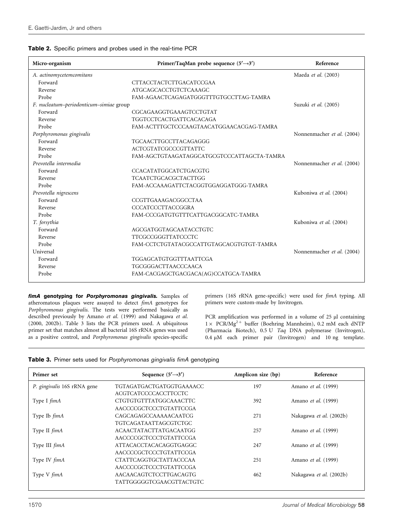| Micro-organism                          | Primer/TaqMan probe sequence $(5' \rightarrow 3')$ | Reference                  |
|-----------------------------------------|----------------------------------------------------|----------------------------|
| A. actinomycetemcomitans                |                                                    | Maeda et al. (2003)        |
| Forward                                 | <b>CTTACCTACTCTTGACATCCGAA</b>                     |                            |
| Reverse                                 | <b>ATGCAGCACCTGTCTCAAAGC</b>                       |                            |
| Probe                                   | FAM-AGAACTCAGAGATGGGTTTGTGCCTTAG-TAMRA             |                            |
| F. nucleatum-periodonticum-simiae group |                                                    | Suzuki et al. (2005)       |
| Forward                                 | CGCAGAAGGTGAAAGTCCTGTAT                            |                            |
| Reverse                                 | TGGTCCTCACTGATTCACACAGA                            |                            |
| Probe                                   | FAM-ACTTTGCTCCCAAGTAACATGGAACACGAG-TAMRA           |                            |
| Porphyromonas gingivalis                |                                                    | Nonnenmacher et al. (2004) |
| Forward                                 | TGCAACTTGCCTTACAGAGGG                              |                            |
| Reverse                                 | <b>ACTCGTATCGCCCGTTATTC</b>                        |                            |
| Probe                                   | FAM-AGCTGTAAGATAGGCATGCGTCCCATTAGCTA-TAMRA         |                            |
| Prevotella intermedia                   |                                                    | Nonnenmacher et al. (2004) |
| Forward                                 | CCACATATGGCATCTGACGTG                              |                            |
| Reverse                                 | <b>TCAATCTGCACGCTACTTGG</b>                        |                            |
| Probe                                   | FAM-ACCAAAGATTCTACGGTGGAGGATGGG-TAMRA              |                            |
| Prevotella nigrescens                   |                                                    | Kuboniwa et al. (2004)     |
| Forward                                 | CCGTTGAAAGACGGCCTAA                                |                            |
| Reverse                                 | CCCATCCCTTACCGGRA                                  |                            |
| Probe                                   | FAM-CCCGATGTGTTTCATTGACGGCATC-TAMRA                |                            |
| T. forsythia                            |                                                    | Kuboniwa et al. (2004)     |
| Forward                                 | AGCGATGGTAGCAATACCTGTC                             |                            |
| Reverse                                 | TTCGCCGGGTTATCCCTC                                 |                            |
| Probe                                   | FAM-CCTCTGTATACGCCATTGTAGCACGTGTGT-TAMRA           |                            |
| Universal                               |                                                    | Nonnenmacher et al. (2004) |
| Forward                                 | TGGAGCATGTGGTTTAATTCGA                             |                            |
| Reverse                                 | <b>TGCGGGACTTAACCCAACA</b>                         |                            |
| Probe                                   | FAM-CACGAGCTGACGACA(AG)CCATGCA-TAMRA               |                            |

fimA genotyping for Porphyromonas gingivalis. Samples of atheromatous plaques were assayed to detect fimA genotypes for Porphyromonas gingivalis. The tests were performed basically as described previously by Amano et al. (1999) and Nakagawa et al. (2000, 2002b). Table 3 lists the PCR primers used. A ubiquitous primer set that matches almost all bacterial 16S rRNA genes was used as a positive control, and Porphyromonas gingivalis species-specific primers (16S rRNA gene-specific) were used for fimA typing. All primers were custom-made by Invitrogen.

PCR amplification was performed in a volume of  $25 \mu l$  containing  $1 \times$  PCR/Mg<sup>2+</sup> buffer (Boehring Mannheim), 0.2 mM each dNTP (Pharmacia Biotech), 0.5 U Taq DNA polymerase (Invitrogen), 0.4 mM each primer pair (Invitrogen) and 10 ng template.

|  |  |  |  |  | Table 3. Primer sets used for Porphyromonas gingivalis fimA genotyping |  |  |  |
|--|--|--|--|--|------------------------------------------------------------------------|--|--|--|
|--|--|--|--|--|------------------------------------------------------------------------|--|--|--|

| Primer set                  | Sequence $(5' \rightarrow 3')$ | Amplicon size (bp) | Reference               |
|-----------------------------|--------------------------------|--------------------|-------------------------|
| P. gingivalis 16S rRNA gene | TGTAGATGACTGATGGTGAAAACC       | 197                | Amano et al. (1999)     |
|                             | ACGTCATCCCCACCTTCCTC           |                    |                         |
| Type I fimA                 | CTGTGTGTTTATGGCAAACTTC         | 392                | Amano et al. (1999)     |
|                             | AACCCCGCTCCCTGTATTCCGA         |                    |                         |
| Type Ib <i>fimA</i>         | CAGCAGAGCCAAAAACAATCG          | 271                | Nakagawa et al. (2002b) |
|                             | <b>TGTCAGATAATTAGCGTCTGC</b>   |                    |                         |
| Type II fimA                | <b>ACAACTATACTTATGACAATGG</b>  | 257                | Amano et al. (1999)     |
|                             | AACCCCGCTCCCTGTATTCCGA         |                    |                         |
| Type III fimA               | ATTACACCTACACAGGTGAGGC         | 247                | Amano et al. (1999)     |
|                             | AACCCCGCTCCCTGTATTCCGA         |                    |                         |
| Type IV fimA                | <b>CTATTCAGGTGCTATTACCCAA</b>  | 251                | Amano et al. (1999)     |
|                             | AACCCCGCTCCCTGTATTCCGA         |                    |                         |
| Type V fimA                 | AACAACAGTCTCCTTGACAGTG         | 462                | Nakagawa et al. (2002b) |
|                             | TATTGGGGGTCGAACGTTACTGTC       |                    |                         |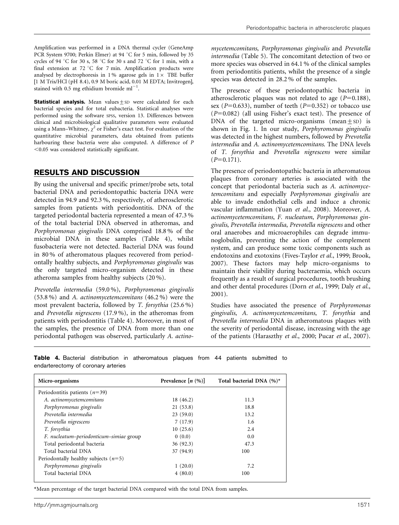Amplification was performed in a DNA thermal cycler (GeneAmp PCR System 9700; Perkin Elmer) at 94 °C for 5 min, followed by 35 cycles of 94 °C for 30 s, 58 °C for 30 s and 72 °C for 1 min, with a final extension at 72  $\mathrm{C}$  for 7 min. Amplification products were analysed by electrophoresis in 1% agarose gels in  $1 \times$  TBE buffer [1 M Tris/HCl (pH 8.4), 0.9 M boric acid, 0.01 M EDTA; Invitrogen], stained with 0.5 mg ethidium bromide  $ml^{-1}$ .

**Statistical analysis.** Mean values $+$ sD were calculated for each bacterial species and for total eubacteria. Statistical analyses were performed using the software SPSS, version 13. Differences between clinical and microbiological qualitative parameters were evaluated using a Mann–Whitney,  $\chi^2$  or Fisher's exact test. For evaluation of the quantitative microbial parameters, data obtained from patients harbouring these bacteria were also computed. A difference of P  $<$  0.05 was considered statistically significant.

#### RESULTS AND DISCUSSION

By using the universal and specific primer/probe sets, total bacterial DNA and periodontopathic bacteria DNA were detected in 94.9 and 92.3 %, respectively, of atherosclerotic samples from patients with periodontitis. DNA of the targeted periodontal bacteria represented a mean of 47.3 % of the total bacterial DNA observed in atheromas, and Porphyromonas gingivalis DNA comprised 18.8 % of the microbial DNA in these samples (Table 4), whilst fusobacteria were not detected. Bacterial DNA was found in 80 % of atheromatous plaques recovered from periodontally healthy subjects, and Porphyromonas gingivalis was the only targeted micro-organism detected in these atheroma samples from healthy subjects (20 %).

Prevotella intermedia (59.0 %), Porphyromonas gingivalis (53.8 %) and A. actinomycetemcomitans (46.2 %) were the most prevalent bacteria, followed by T. forsythia (25.6 %) and Prevotella nigrescens (17.9 %), in the atheromas from patients with periodontitis (Table 4). Moreover, in most of the samples, the presence of DNA from more than one periodontal pathogen was observed, particularly A. actino-

mycetemcomitans, Porphyromonas gingivalis and Prevotella intermedia (Table 5). The concomitant detection of two or more species was observed in 64.1 % of the clinical samples from periodontitis patients, whilst the presence of a single species was detected in 28.2 % of the samples.

The presence of these periodontopathic bacteria in atherosclerotic plaques was not related to age ( $P=0.188$ ), sex ( $P=0.633$ ), number of teeth ( $P=0.352$ ) or tobacco use  $(P=0.082)$  (all using Fisher's exact test). The presence of DNA of the targeted micro-organisms (mean $\pm$ SD) is shown in Fig. 1. In our study, Porphyromonas gingivalis was detected in the highest numbers, followed by Prevotella intermedia and A. actinomycetemcomitans. The DNA levels of T. forsythia and Prevotella nigrescens were similar  $(P=0.171)$ .

The presence of periodontopathic bacteria in atheromatous plaques from coronary arteries is associated with the concept that periodontal bacteria such as A. actinomycetemcomitans and especially Porphyromonas gingivalis are able to invade endothelial cells and induce a chronic vascular inflammation (Yuan et al., 2008). Moreover, A. actinomycetemcomitans, F. nucleatum, Porphyromonas gingivalis, Prevotella intermedia, Prevotella nigrescens and other oral anaerobes and microaerophiles can degrade immunoglobulin, preventing the action of the complement system, and can produce some toxic components such as endotoxins and exotoxins (Fives-Taylor et al., 1999; Brook, 2007). These factors may help micro-organisms to maintain their viability during bacteraemia, which occurs frequently as a result of surgical procedures, tooth brushing and other dental procedures (Dorn et al., 1999; Daly et al., 2001).

Studies have associated the presence of Porphyromonas gingivalis, A. actinomycetemcomitans, T. forsythia and Prevotella intermedia DNA in atheromatous plaques with the severity of periodontal disease, increasing with the age of the patients (Haraszthy et al., 2000; Pucar et al., 2007).

| Micro-organisms                         | Prevalence $[n (%)]$ | Total bacterial DNA $(\%)^*$ |
|-----------------------------------------|----------------------|------------------------------|
| Periodontitis patients $(n=39)$         |                      |                              |
| A. actinomycetemcomitans                | 18 (46.2)            | 11.3                         |
| Porphyromonas gingivalis                | 21(53.8)             | 18.8                         |
| Prevotella intermedia                   | 23(59.0)             | 13.2                         |
| Prevotella nigrescens                   | 7(17.9)              | 1.6                          |
| T. forsythia                            | 10(25.6)             | 2.4                          |
| F. nucleatum-periodonticum-simiae group | 0(0.0)               | 0.0                          |
| Total periodontal bacteria              | 36(92.3)             | 47.3                         |
| Total bacterial DNA                     | 37 (94.9)            | 100                          |
| Periodontally healthy subjects $(n=5)$  |                      |                              |
| Porphyromonas gingivalis                | 1(20.0)              | 7.2                          |
| Total bacterial DNA                     | 4(80.0)              | 100                          |

Table 4. Bacterial distribution in atheromatous plaques from 44 patients submitted to endarterectomy of coronary arteries

\*Mean percentage of the target bacterial DNA compared with the total DNA from samples.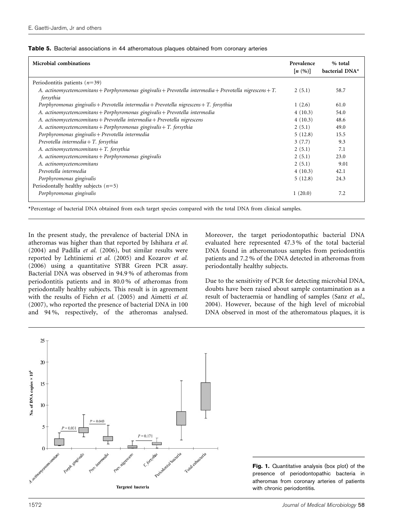| <b>Microbial combinations</b>                                                                                         | Prevalence<br>[n(96)] | % total<br>bacterial DNA* |
|-----------------------------------------------------------------------------------------------------------------------|-----------------------|---------------------------|
| Periodontitis patients $(n=39)$                                                                                       |                       |                           |
| A. actinomycetemcomitans + Porphyromonas gingivalis + Prevotella intermedia + Prevotella nigrescens + T.<br>forsythia | 2(5.1)                | 58.7                      |
| Porphyromonas gingivalis + Prevotella intermedia + Prevotella nigrescens + T. forsythia                               | 1(2.6)                | 61.0                      |
| A. actinomycetemcomitans + Porphyromonas gingivalis + Prevotella intermedia                                           | 4(10.3)               | 54.0                      |
| A. actinomycetemcomitans + Prevotella intermedia + Prevotella nigrescens                                              | 4(10.3)               | 48.6                      |
| A. actinomycetemcomitans + Porphyromonas gingivalis + T. forsythia                                                    | 2(5.1)                | 49.0                      |
| Porphyromonas gingivalis + Prevotella intermedia                                                                      | 5(12.8)               | 15.5                      |
| Prevotella intermedia + $T$ . forsythia                                                                               | 3(7.7)                | 9.3                       |
| A. actinomycetemcomitans + T. forsythia                                                                               | 2(5.1)                | 7.1                       |
| A. actinomycetemcomitans + Porphyromonas gingivalis                                                                   | 2(5.1)                | 23.0                      |
| A. actinomycetemcomitans                                                                                              | 2(5.1)                | 9.01                      |
| Prevotella intermedia                                                                                                 | 4(10.3)               | 42.1                      |
| Porphyromonas gingivalis                                                                                              | 5(12.8)               | 24.3                      |
| Periodontally healthy subjects $(n=5)$                                                                                |                       |                           |
| Porphyromonas gingivalis                                                                                              | 1(20.0)               | 7.2                       |

#### Table 5. Bacterial associations in 44 atheromatous plaques obtained from coronary arteries

\*Percentage of bacterial DNA obtained from each target species compared with the total DNA from clinical samples.

In the present study, the prevalence of bacterial DNA in atheromas was higher than that reported by Ishihara et al. (2004) and Padilla et al. (2006), but similar results were reported by Lehtiniemi et al. (2005) and Kozarov et al. (2006) using a quantitative SYBR Green PCR assay. Bacterial DNA was observed in 94.9 % of atheromas from periodontitis patients and in 80.0 % of atheromas from periodontally healthy subjects. This result is in agreement with the results of Fiehn et al. (2005) and Aimetti et al. (2007), who reported the presence of bacterial DNA in 100 and 94 %, respectively, of the atheromas analysed. Moreover, the target periodontopathic bacterial DNA evaluated here represented 47.3 % of the total bacterial DNA found in atheromatous samples from periodontitis patients and 7.2 % of the DNA detected in atheromas from periodontally healthy subjects.

Due to the sensitivity of PCR for detecting microbial DNA, doubts have been raised about sample contamination as a result of bacteraemia or handling of samples (Sanz et al., 2004). However, because of the high level of microbial DNA observed in most of the atheromatous plaques, it is



Fig. 1. Quantitative analysis (box plot) of the presence of periodontopathic bacteria in atheromas from coronary arteries of patients with chronic periodontitis.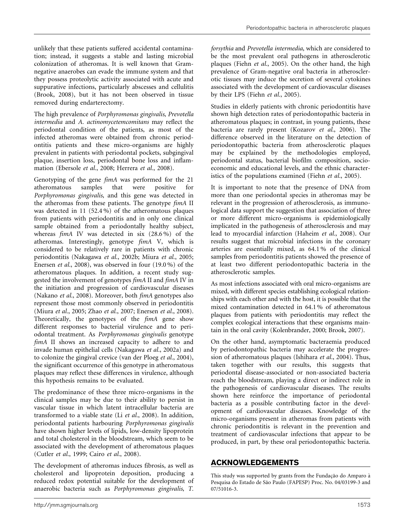unlikely that these patients suffered accidental contamination; instead, it suggests a stable and lasting microbial colonization of atheromas. It is well known that Gramnegative anaerobes can evade the immune system and that they possess proteolytic activity associated with acute and suppurative infections, particularly abscesses and cellulitis (Brook, 2008), but it has not been observed in tissue removed during endarterectomy.

The high prevalence of Porphyromonas gingivalis, Prevotella intermedia and A. actinomycetemcomitans may reflect the periodontal condition of the patients, as most of the infected atheromas were obtained from chronic periodontitis patients and these micro-organisms are highly prevalent in patients with periodontal pockets, subgingival plaque, insertion loss, periodontal bone loss and inflammation (Ebersole et al., 2008; Herrera et al., 2008).

Genotyping of the gene fimA was performed for the 21 atheromatous samples that were positive for Porphyromonas gingivalis, and this gene was detected in the atheromas from these patients. The genotype fimA II was detected in 11 (52.4 %) of the atheromatous plaques from patients with periodontitis and in only one clinical sample obtained from a periodontally healthy subject, whereas fimA IV was detected in six (28.6 %) of the atheromas. Interestingly, genotype fimA V, which is considered to be relatively rare in patients with chronic periodontitis (Nakagawa et al., 2002b; Miura et al., 2005; Enersen et al., 2008), was observed in four (19.0 %) of the atheromatous plaques. In addition, a recent study suggested the involvement of genotypes fimA II and fimA IV in the initiation and progression of cardiovascular diseases (Nakano et al., 2008). Moreover, both fimA genotypes also represent those most commonly observed in periodontitis (Miura et al., 2005; Zhao et al., 2007; Enersen et al., 2008). Theoretically, the genotypes of the fimA gene show different responses to bacterial virulence and to periodontal treatment. As Porphyromonas gingivalis genotype fimA II shows an increased capacity to adhere to and invade human epithelial cells (Nakagawa et al., 2002a) and to colonize the gingival crevice (van der Ploeg et al., 2004), the significant occurrence of this genotype in atheromatous plaques may reflect these differences in virulence, although this hypothesis remains to be evaluated.

The predominance of these three micro-organisms in the clinical samples may be due to their ability to persist in vascular tissue in which latent intracellular bacteria are transformed to a viable state (Li et al., 2008). In addition, periodontal patients harbouring Porphyromonas gingivalis have shown higher levels of lipids, low-density lipoprotein and total cholesterol in the bloodstream, which seem to be associated with the development of atheromatous plaques (Cutler et al., 1999; Cairo et al., 2008).

The development of atheromas induces fibrosis, as well as cholesterol and lipoprotein deposition, producing a reduced redox potential suitable for the development of anaerobic bacteria such as Porphyromonas gingivalis, T.

forsythia and Prevotella intermedia, which are considered to be the most prevalent oral pathogens in atherosclerotic plaques (Fiehn et al., 2005). On the other hand, the high prevalence of Gram-negative oral bacteria in atherosclerotic tissues may induce the secretion of several cytokines associated with the development of cardiovascular diseases by their LPS (Fiehn et al., 2005).

Studies in elderly patients with chronic periodontitis have shown high detection rates of periodontopathic bacteria in atheromatous plaques; in contrast, in young patients, these bacteria are rarely present (Kozarov et al., 2006). The difference observed in the literature on the detection of periodontopathic bacteria from atherosclerotic plaques may be explained by the methodologies employed, periodontal status, bacterial biofilm composition, socioeconomic and educational levels, and the ethnic characteristics of the populations examined (Fiehn et al., 2005).

It is important to note that the presence of DNA from more than one periodontal species in atheromas may be relevant in the progression of atherosclerosis, as immunological data support the suggestion that association of three or more different micro-organisms is epidemiologically implicated in the pathogenesis of atherosclerosis and may lead to myocardial infarction (Haheim et al., 2008). Our results suggest that microbial infections in the coronary arteries are essentially mixed, as 64.1 % of the clinical samples from periodontitis patients showed the presence of at least two different periodontopathic bacteria in the atherosclerotic samples.

As most infections associated with oral micro-organisms are mixed, with different species establishing ecological relationships with each other and with the host, it is possible that the mixed contamination detected in 64.1 % of atheromatous plaques from patients with periodontitis may reflect the complex ecological interactions that these organisms maintain in the oral cavity (Kolenbrander, 2000; Brook, 2007).

On the other hand, asymptomatic bacteraemia produced by periodontopathic bacteria may accelerate the progression of atheromatous plaques (Ishihara et al., 2004). Thus, taken together with our results, this suggests that periodontal disease-associated or non-associated bacteria reach the bloodstream, playing a direct or indirect role in the pathogenesis of cardiovascular diseases. The results shown here reinforce the importance of periodontal bacteria as a possible contributing factor in the development of cardiovascular diseases. Knowledge of the micro-organisms present in atheromas from patients with chronic periodontitis is relevant in the prevention and treatment of cardiovascular infections that appear to be produced, in part, by these oral periodontopathic bacteria.

### ACKNOWLEDGEMENTS

This study was supported by grants from the Fundação do Amparo à Pesquisa do Estado de São Paulo (FAPESP) Proc. No. 04/03199-3 and 07/51016-3.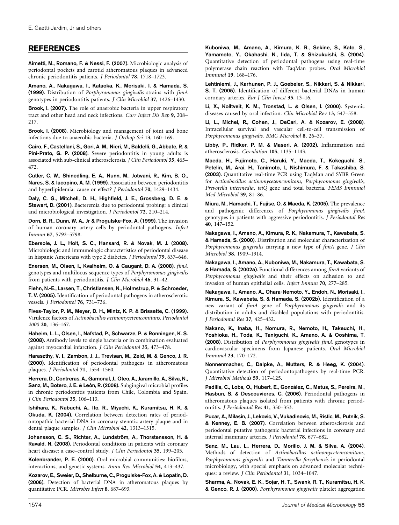#### REFERENCES

Aimetti, M., Romano, F. & Nessi, F. (2007). Microbiologic analysis of periodontal pockets and carotid atheromatous plaques in advanced chronic periodontitis patients. J Periodontol 78, 1718–1723.

Amano, A., Nakagawa, I., Kataoka, K., Morisaki, I. & Hamada, S. (1999). Distribution of Porphyromonas gingivalis strains with fimA genotypes in periodontitis patients. J Clin Microbiol 37, 1426–1430.

Brook, I. (2007). The role of anaerobic bacteria in upper respiratory tract and other head and neck infections. Curr Infect Dis Rep 9, 208– 217.

Brook, I. (2008). Microbiology and management of joint and bone infections due to anaerobic bacteria. J Orthop Sci 13, 160–169.

Cairo, F., Castellani, S., Gori, A. M., Nieri, M., Baldelli, G., Abbate, R. & Pini-Prato, G. P. (2008). Severe periodontitis in young adults is associated with sub-clinical atherosclerosis. J Clin Periodontol 35, 465– 472.

Cutler, C. W., Shinedling, E. A., Nunn, M., Jotwani, R., Kim, B. O., Nares, S. & Iacopino, A. M. (1999). Association between periodontitis and hyperlipidemia: cause or effect? J Periodontol 70, 1429–1434.

Daly, C. G., Mitchell, D. H., Highfield, J. E., Grossberg, D. E. & Stewart, D. (2001). Bacteremia due to periodontal probing: a clinical and microbiological investigation. J Periodontol 72, 210–214.

Dorn, B. R., Dunn, W. A., Jr & Progulske-Fox, A. (1999). The invasion of human coronary artery cells by periodontal pathogens. Infect Immun 67, 5792–5798.

Ebersole, J. L., Holt, S. C., Hansard, R. & Novak, M. J. (2008). Microbiologic and immunologic characteristics of periodontal disease in hispanic Americans with type 2 diabetes. J Periodontol 79, 637–646.

Enersen, M., Olsen, I., Kvalheim, O. & Caugant, D. A. (2008). fimA genotypes and multilocus sequence types of Porphyromonas gingivalis from patients with periodontitis. J Clin Microbiol 46, 31-42.

Fiehn, N.-E., Larsen, T., Christiansen, N., Holmstrup, P. & Schroeder, T. V. (2005). Identification of periodontal pathogens in atherosclerotic vessels. J Periodontol 76, 731–736.

Fives-Taylor, P. M., Meyer, D. H., Mintz, K. P. & Brissette, C. (1999). Virulence factors of Actinobacillus actinomycetemcomitans. Periodontol 2000 20, 136–167.

Haheim, L. L., Olsen, I., Nafstad, P., Schwarze, P. & Ronningen, K. S. (2008). Antibody levels to single bacteria or in combination evaluated against myocardial infarction. J Clin Periodontol 35, 473–478.

Haraszthy, V. I., Zambon, J. J., Trevisan, M., Zeid, M. & Genco, J. R. (2000). Identification of periodontal pathogens in atheromatous plaques. J Periodontol 71, 1554–1560.

Herrera, D., Contreras, A., Gamonal, J., Oteo, A., Jaramillo, A., Silva, N., Sanz, M., Botero, J. E. & León, R. (2008). Subgingival microbial profiles in chronic periodontitis patients from Chile, Colombia and Spain. J Clin Periodontol 35, 106–113.

Ishihara, K., Nabuchi, A., Ito, R., Miyachi, K., Kuramitsu, H. K. & Okuda, K. (2004). Correlation between detection rates of periodontopathic bacterial DNA in coronary stenotic artery plaque and in dental plaque samples. J Clin Microbiol 42, 1313–1315.

Johansson, C. S., Richter, A., Lundström, A., Thorstensson, H. & Ravald, N. (2008). Periodontal conditions in patients with coronary heart disease: a case–control study. J Clin Periodontol 35, 199–205.

Kolenbrander, P. E. (2000). Oral microbial communities: biofilms, interactions, and genetic systems. Annu Rev Microbiol 54, 413–437.

Kozarov, E., Sweier, D., Shelburne, C., Progulske-Fox, A. & Lopatin, D. (2006). Detection of bacterial DNA in atheromatous plaques by quantitative PCR. Microbes Infect 8, 687–693.

Kuboniwa, M., Amano, A., Kimura, K. R., Sekine, S., Kato, S., Yamamoto, Y., Okahashi, N., Iida, T. & Shizukuishi, S. (2004). Quantitative detection of periodontal pathogens using real-time polymerase chain reaction with TaqMan probes. Oral Microbiol Immunol 19, 168–176.

Lehtiniemi, J., Karhunen, P. J., Goebeler, S., Nikkari, S. & Nikkari, S. T. (2005). Identification of different bacterial DNAs in human coronary arteries. Eur J Clin Invest 35, 13–16.

Li, X., Kolltveit, K. M., Tronstad, L. & Olsen, I. (2000). Systemic diseases caused by oral infection. Clin Microbiol Rev 13, 547–558.

Li, L., Michel, R., Cohen, J., DeCarl, A. & Kozarov, E. (2008). Intracellular survival and vascular cell-to-cell transmission of Porphyromonas gingivalis. BMC Microbiol 8, 26–37.

Libby, P., Ridker, P. M. & Maseri, A. (2002). Inflammation and atherosclerosis. Circulation 105, 1135–1143.

Maeda, H., Fujimoto, C., Haruki, Y., Maeda, T., Kokeguchi, S., Petelin, M., Arai, H., Tanimoto, I., Nishimura, F. & Takashiba, S. (2003). Quantitative real-time PCR using TaqMan and SYBR Green for Actinobacillus actinomycetemcomitans, Porphyromonas gingivalis, Prevotella intermedia, tetQ gene and total bacteria. FEMS Immunol Med Microbiol 39, 81–86.

Miura, M., Hamachi, T., Fujise, O. & Maeda, K. (2005). The prevalence and pathogenic differences of Porphyromonas gingivalis fimA genotypes in patients with aggressive periodontitis. J Periodontal Res 40, 147–152.

Nakagawa, I., Amano, A., Kimura, R. K., Nakamura, T., Kawabata, S. & Hamada, S. (2000). Distribution and molecular characterization of Porphyromonas gingivalis carrying a new type of fimA gene. J Clin Microbiol 38, 1909–1914.

Nakagawa, I., Amano, A., Kuboniwa, M., Nakamura, T., Kawabata, S. & Hamada, S. (2002a). Functional differences among fimA variants of Porphyromonas gingivalis and their effects on adhesion to and invasion of human epithelial cells. Infect Immun 70, 277–285.

Nakagawa, I., Amano, A., Ohara-Nemoto, Y., Endoh, N., Morisaki, I., Kimura, S., Kawabata, S. & Hamada, S. (2002b). Identification of a new variant of fimA gene of Porphyromonas gingivalis and its distribution in adults and disabled populations with periodontitis. J Periodontal Res 37, 425–432.

Nakano, K., Inaba, H., Nomura, R., Nemoto, H., Takeuchi, H., Yoshioka, H., Toda, K., Taniguchi, K., Amano, A. & Ooshima, T. (2008). Distribution of Porphyromonas gingivalis fimA genotypes in cardiovascular specimens from Japanese patients. Oral Microbiol Immunol 23, 170–172.

Nonnenmacher, C., Dalpke, A., Mutters, R. & Heeg, K. (2004). Quantitative detection of periodontopathogens by real-time PCR. J Microbiol Methods 59, 117–125.

Padilla, C., Lobs, O., Hubert, E., González, C., Matus, S., Pereira, M., Hasbun, S. & Descouvieres, C. (2006). Periodontal pathogens in atheromatous plaques isolated from patients with chronic periodontitis. J Periodontal Res 41, 350–353.

Pucar, A., Milasin, J., Lekovic, V., Vukadinovic, M., Ristic, M., Putnik, S. & Kenney, E. B. (2007). Correlation between atherosclerosis and periodontal putative pathogenic bacterial infections in coronary and internal mammary arteries. J Periodontol 78, 677–682.

Sanz, M., Lau, L., Herrera, D., Morillo, J. M. & Silva, A. (2004). Methods of detection of Actinobacillus actinomycetemcomitans, Porphyromonas gingivalis and Tannerella forsythensis in periodontal microbiology, with special emphasis on advanced molecular techniques: a review. J Clin Periodontol 31, 1034–1047.

Sharma, A., Novak, E. K., Sojar, H. T., Swank, R. T., Kuramitsu, H. K. & Genco, R. J. (2000). Porphyromonas gingivalis platelet aggregation